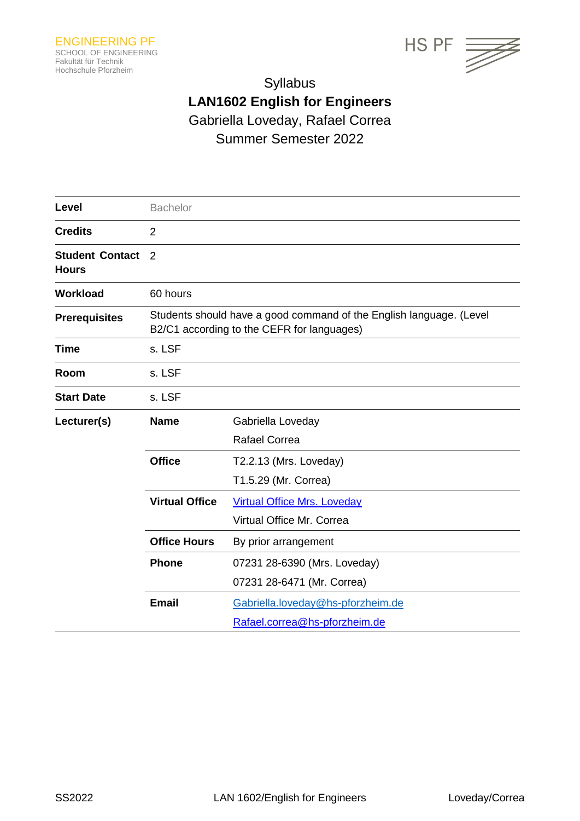



# Syllabus **LAN1602 English for Engineers** Gabriella Loveday, Rafael Correa Summer Semester 2022

| Level                                  | <b>Bachelor</b>                                                                                                   |                                                                    |  |
|----------------------------------------|-------------------------------------------------------------------------------------------------------------------|--------------------------------------------------------------------|--|
| <b>Credits</b>                         | $\overline{2}$                                                                                                    |                                                                    |  |
| <b>Student Contact</b><br><b>Hours</b> | 2                                                                                                                 |                                                                    |  |
| <b>Workload</b>                        | 60 hours                                                                                                          |                                                                    |  |
| <b>Prerequisites</b>                   | Students should have a good command of the English language. (Level<br>B2/C1 according to the CEFR for languages) |                                                                    |  |
| <b>Time</b>                            | s. LSF                                                                                                            |                                                                    |  |
| Room                                   | s. LSF                                                                                                            |                                                                    |  |
| <b>Start Date</b>                      | s. LSF                                                                                                            |                                                                    |  |
| Lecturer(s)                            | <b>Name</b>                                                                                                       | Gabriella Loveday<br><b>Rafael Correa</b>                          |  |
|                                        | <b>Office</b>                                                                                                     | T2.2.13 (Mrs. Loveday)<br>T1.5.29 (Mr. Correa)                     |  |
|                                        | <b>Virtual Office</b>                                                                                             | <b>Virtual Office Mrs. Loveday</b><br>Virtual Office Mr. Correa    |  |
|                                        | <b>Office Hours</b>                                                                                               | By prior arrangement                                               |  |
|                                        | <b>Phone</b>                                                                                                      | 07231 28-6390 (Mrs. Loveday)<br>07231 28-6471 (Mr. Correa)         |  |
|                                        | <b>Email</b>                                                                                                      | Gabriella.loveday@hs-pforzheim.de<br>Rafael.correa@hs-pforzheim.de |  |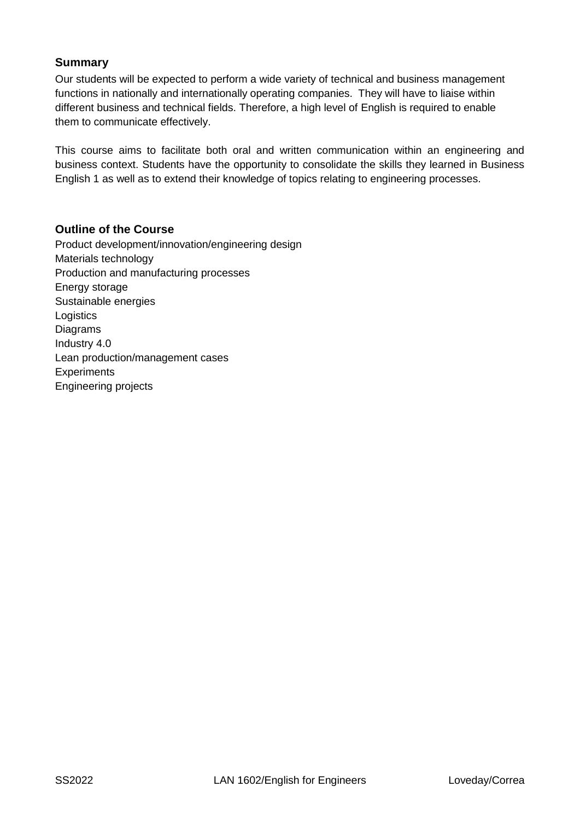# **Summary**

Our students will be expected to perform a wide variety of technical and business management functions in nationally and internationally operating companies. They will have to liaise within different business and technical fields. Therefore, a high level of English is required to enable them to communicate effectively.

This course aims to facilitate both oral and written communication within an engineering and business context. Students have the opportunity to consolidate the skills they learned in Business English 1 as well as to extend their knowledge of topics relating to engineering processes.

# **Outline of the Course**

Product development/innovation/engineering design Materials technology Production and manufacturing processes Energy storage Sustainable energies **Logistics** Diagrams Industry 4.0 Lean production/management cases **Experiments** Engineering projects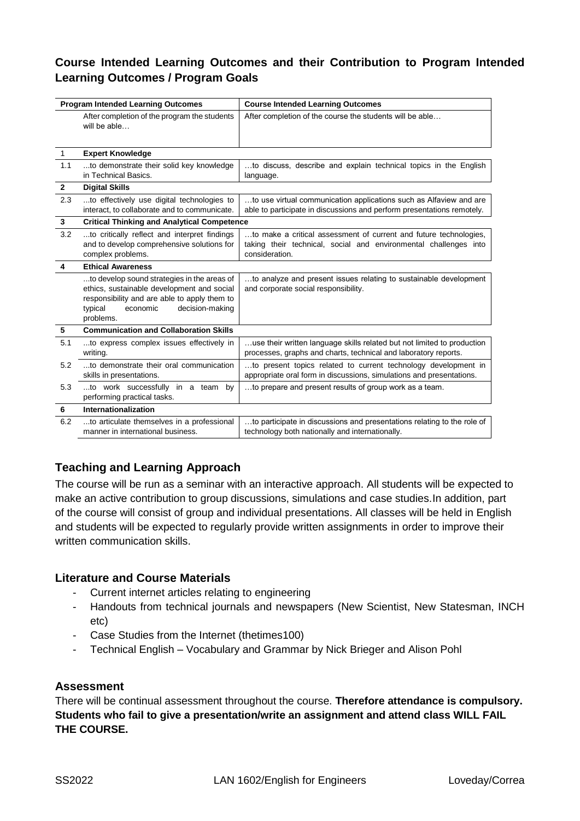# **Course Intended Learning Outcomes and their Contribution to Program Intended Learning Outcomes / Program Goals**

| <b>Program Intended Learning Outcomes</b> |                                                                                                                                                                                                  | <b>Course Intended Learning Outcomes</b>                                                                                                                |  |  |
|-------------------------------------------|--------------------------------------------------------------------------------------------------------------------------------------------------------------------------------------------------|---------------------------------------------------------------------------------------------------------------------------------------------------------|--|--|
|                                           | After completion of the program the students<br>will be able                                                                                                                                     | After completion of the course the students will be able                                                                                                |  |  |
| $\mathbf{1}$                              | <b>Expert Knowledge</b>                                                                                                                                                                          |                                                                                                                                                         |  |  |
| 1.1                                       | to demonstrate their solid key knowledge<br>in Technical Basics.                                                                                                                                 | to discuss, describe and explain technical topics in the English<br>language.                                                                           |  |  |
| $\mathbf{2}$                              | <b>Digital Skills</b>                                                                                                                                                                            |                                                                                                                                                         |  |  |
| 2.3                                       | to effectively use digital technologies to<br>interact, to collaborate and to communicate.                                                                                                       | to use virtual communication applications such as Alfaview and are<br>able to participate in discussions and perform presentations remotely.            |  |  |
| 3                                         | <b>Critical Thinking and Analytical Competence</b>                                                                                                                                               |                                                                                                                                                         |  |  |
| 3.2                                       | to critically reflect and interpret findings<br>and to develop comprehensive solutions for<br>complex problems.                                                                                  | to make a critical assessment of current and future technologies,<br>taking their technical, social and environmental challenges into<br>consideration. |  |  |
| $\overline{\mathbf{4}}$                   | <b>Ethical Awareness</b>                                                                                                                                                                         |                                                                                                                                                         |  |  |
|                                           | to develop sound strategies in the areas of<br>ethics, sustainable development and social<br>responsibility and are able to apply them to<br>decision-making<br>typical<br>economic<br>problems. | to analyze and present issues relating to sustainable development<br>and corporate social responsibility.                                               |  |  |
| 5                                         | <b>Communication and Collaboration Skills</b>                                                                                                                                                    |                                                                                                                                                         |  |  |
| 5.1                                       | to express complex issues effectively in<br>writing.                                                                                                                                             | use their written language skills related but not limited to production<br>processes, graphs and charts, technical and laboratory reports.              |  |  |
| 5.2                                       | to demonstrate their oral communication<br>skills in presentations.                                                                                                                              | to present topics related to current technology development in<br>appropriate oral form in discussions, simulations and presentations.                  |  |  |
| 5.3                                       | to work successfully in a team by<br>performing practical tasks.                                                                                                                                 | to prepare and present results of group work as a team.                                                                                                 |  |  |
| 6                                         | Internationalization                                                                                                                                                                             |                                                                                                                                                         |  |  |
| 6.2                                       | to articulate themselves in a professional<br>manner in international business.                                                                                                                  | to participate in discussions and presentations relating to the role of<br>technology both nationally and internationally.                              |  |  |

# **Teaching and Learning Approach**

The course will be run as a seminar with an interactive approach. All students will be expected to make an active contribution to group discussions, simulations and case studies.In addition, part of the course will consist of group and individual presentations. All classes will be held in English and students will be expected to regularly provide written assignments in order to improve their written communication skills.

# **Literature and Course Materials**

- Current internet articles relating to engineering
- Handouts from technical journals and newspapers (New Scientist, New Statesman, INCH etc)
- Case Studies from the Internet (thetimes100)
- Technical English Vocabulary and Grammar by Nick Brieger and Alison Pohl

### **Assessment**

There will be continual assessment throughout the course. **Therefore attendance is compulsory. Students who fail to give a presentation/write an assignment and attend class WILL FAIL THE COURSE.**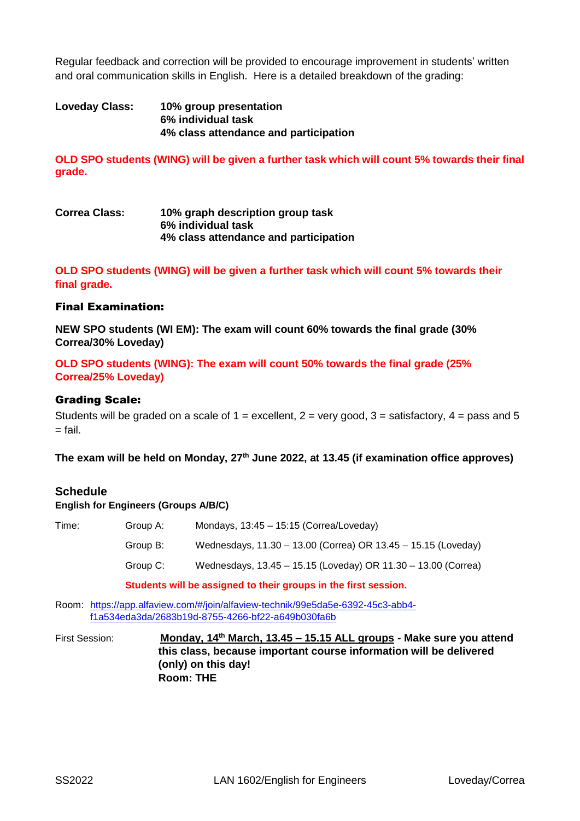Regular feedback and correction will be provided to encourage improvement in students' written and oral communication skills in English. Here is a detailed breakdown of the grading:

### **Loveday Class: 10% group presentation 6% individual task 4% class attendance and participation**

**OLD SPO students (WING) will be given a further task which will count 5% towards their final grade.** 

### **Correa Class: 10% graph description group task 6% individual task 4% class attendance and participation**

**OLD SPO students (WING) will be given a further task which will count 5% towards their final grade.**

### Final Examination:

**NEW SPO students (WI EM): The exam will count 60% towards the final grade (30% Correa/30% Loveday)**

**OLD SPO students (WING): The exam will count 50% towards the final grade (25% Correa/25% Loveday)**

#### Grading Scale:

Students will be graded on a scale of  $1 =$  excellent,  $2 =$  very good,  $3 =$  satisfactory,  $4 =$  pass and 5  $=$  fail.

**The exam will be held on Monday, 27th June 2022, at 13.45 (if examination office approves)**

### **Schedule**

#### **English for Engineers (Groups A/B/C)**

| Time:<br>Group A: |          | Mondays, $13:45 - 15:15$ (Correa/Loveday)                     |  |
|-------------------|----------|---------------------------------------------------------------|--|
|                   | Group B: | Wednesdays, 11.30 - 13.00 (Correa) OR 13.45 - 15.15 (Loveday) |  |
|                   | Group C: | Wednesdays, 13.45 - 15.15 (Loveday) OR 11.30 - 13.00 (Correa) |  |
|                   |          |                                                               |  |

**Students will be assigned to their groups in the first session.**

Room: [https://app.alfaview.com/#/join/alfaview-technik/99e5da5e-6392-45c3-abb4](https://app.alfaview.com/#/join/alfaview-technik/99e5da5e-6392-45c3-abb4-f1a534eda3da/2683b19d-8755-4266-bf22-a649b030fa6b) [f1a534eda3da/2683b19d-8755-4266-bf22-a649b030fa6b](https://app.alfaview.com/#/join/alfaview-technik/99e5da5e-6392-45c3-abb4-f1a534eda3da/2683b19d-8755-4266-bf22-a649b030fa6b)

First Session: **Monday, 14th March, 13.45 – 15.15 ALL groups - Make sure you attend this class, because important course information will be delivered (only) on this day! Room: THE**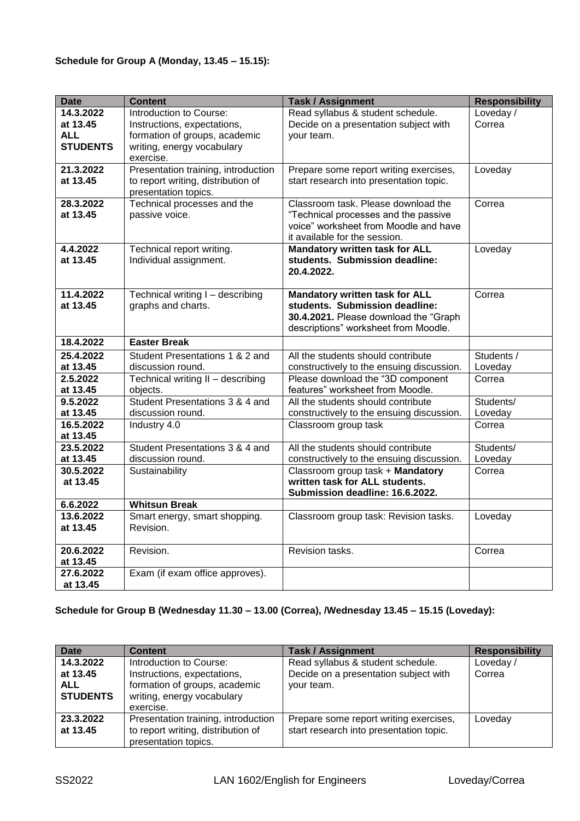### **Schedule for Group A (Monday, 13.45 – 15.15):**

| <b>Date</b>                        | <b>Content</b>                                                                                    | <b>Task / Assignment</b>                                                                                                                                 | <b>Responsibility</b> |
|------------------------------------|---------------------------------------------------------------------------------------------------|----------------------------------------------------------------------------------------------------------------------------------------------------------|-----------------------|
| $\overline{14.3.2022}$<br>at 13.45 | Introduction to Course:<br>Instructions, expectations,                                            | Read syllabus & student schedule.<br>Decide on a presentation subject with                                                                               | Loveday /<br>Correa   |
| <b>ALL</b><br><b>STUDENTS</b>      | formation of groups, academic<br>writing, energy vocabulary<br>exercise.                          | your team.                                                                                                                                               |                       |
| 21.3.2022<br>at 13.45              | Presentation training, introduction<br>to report writing, distribution of<br>presentation topics. | Prepare some report writing exercises,<br>start research into presentation topic.                                                                        | Loveday               |
| 28.3.2022<br>at 13.45              | Technical processes and the<br>passive voice.                                                     | Classroom task. Please download the<br>"Technical processes and the passive<br>voice" worksheet from Moodle and have<br>it available for the session.    | Correa                |
| 4.4.2022<br>at 13.45               | Technical report writing.<br>Individual assignment.                                               | <b>Mandatory written task for ALL</b><br>students. Submission deadline:<br>20.4.2022.                                                                    | Loveday               |
| 11.4.2022<br>at 13.45              | Technical writing I - describing<br>graphs and charts.                                            | <b>Mandatory written task for ALL</b><br>students. Submission deadline:<br>30.4.2021. Please download the "Graph<br>descriptions" worksheet from Moodle. | Correa                |
| 18.4.2022                          | <b>Easter Break</b>                                                                               |                                                                                                                                                          |                       |
| 25.4.2022<br>at 13.45              | Student Presentations 1 & 2 and<br>discussion round.                                              | All the students should contribute<br>constructively to the ensuing discussion.                                                                          | Students /<br>Loveday |
| 2.5.2022                           | Technical writing II - describing                                                                 | Please download the "3D component                                                                                                                        | Correa                |
| at 13.45                           | objects.                                                                                          | features" worksheet from Moodle.                                                                                                                         |                       |
| 9.5.2022                           | Student Presentations 3 & 4 and                                                                   | All the students should contribute                                                                                                                       | Students/             |
| at 13.45<br>16.5.2022              | discussion round.<br>Industry 4.0                                                                 | constructively to the ensuing discussion.<br>Classroom group task                                                                                        | Loveday<br>Correa     |
| at 13.45                           |                                                                                                   |                                                                                                                                                          |                       |
| 23.5.2022<br>at 13.45              | Student Presentations 3 & 4 and<br>discussion round.                                              | All the students should contribute<br>constructively to the ensuing discussion.                                                                          | Students/<br>Loveday  |
| 30.5.2022<br>at 13.45              | Sustainability                                                                                    | Classroom group task + Mandatory<br>written task for ALL students.<br>Submission deadline: 16.6.2022.                                                    | Correa                |
| 6.6.2022                           | <b>Whitsun Break</b>                                                                              |                                                                                                                                                          |                       |
| 13.6.2022<br>at 13.45              | Smart energy, smart shopping.<br>Revision.                                                        | Classroom group task: Revision tasks.                                                                                                                    | Loveday               |
| 20.6.2022<br>at 13.45              | Revision.                                                                                         | Revision tasks.                                                                                                                                          | Correa                |
| 27.6.2022<br>at 13.45              | Exam (if exam office approves).                                                                   |                                                                                                                                                          |                       |

#### **Schedule for Group B (Wednesday 11.30 – 13.00 (Correa), /Wednesday 13.45 – 15.15 (Loveday):**

| <b>Date</b>                                            | <b>Content</b>                                                                                                                     | <b>Task / Assignment</b>                                                                 | <b>Responsibility</b> |
|--------------------------------------------------------|------------------------------------------------------------------------------------------------------------------------------------|------------------------------------------------------------------------------------------|-----------------------|
| 14.3.2022<br>at 13.45<br><b>ALL</b><br><b>STUDENTS</b> | Introduction to Course:<br>Instructions, expectations,<br>formation of groups, academic<br>writing, energy vocabulary<br>exercise. | Read syllabus & student schedule.<br>Decide on a presentation subject with<br>your team. | Loveday/<br>Correa    |
| 23.3.2022<br>at 13.45                                  | Presentation training, introduction<br>to report writing, distribution of<br>presentation topics.                                  | Prepare some report writing exercises,<br>start research into presentation topic.        | Loveday               |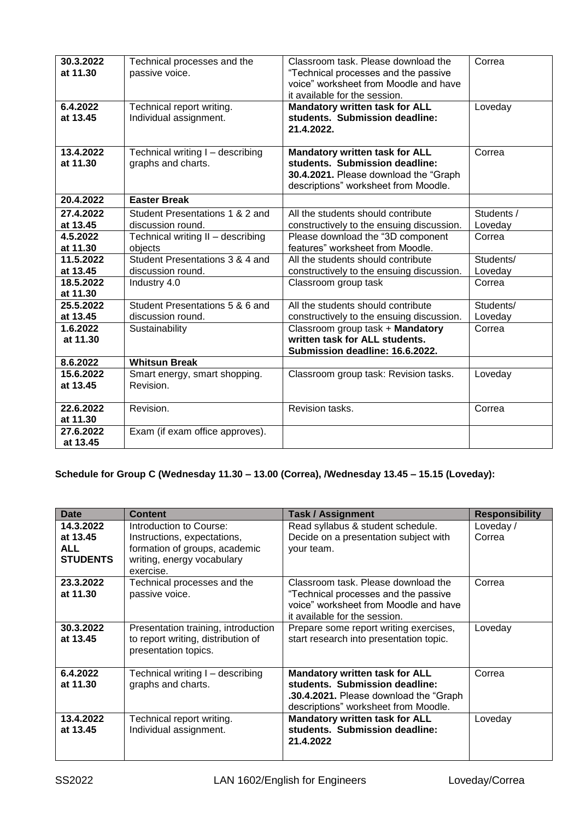| 30.3.2022<br>at 11.30<br>6.4.2022<br>at 13.45 | Technical processes and the<br>passive voice.<br>Technical report writing.<br>Individual assignment. | Classroom task. Please download the<br>"Technical processes and the passive<br>voice" worksheet from Moodle and have<br>it available for the session.<br><b>Mandatory written task for ALL</b><br>students. Submission deadline:<br>21.4.2022. | Correa<br>Loveday    |
|-----------------------------------------------|------------------------------------------------------------------------------------------------------|------------------------------------------------------------------------------------------------------------------------------------------------------------------------------------------------------------------------------------------------|----------------------|
| 13.4.2022<br>at 11.30                         | Technical writing I - describing<br>graphs and charts.                                               | <b>Mandatory written task for ALL</b><br>students. Submission deadline:<br>30.4.2021. Please download the "Graph"<br>descriptions" worksheet from Moodle.                                                                                      | Correa               |
| 20.4.2022                                     | <b>Easter Break</b>                                                                                  |                                                                                                                                                                                                                                                |                      |
| 27.4.2022                                     | Student Presentations 1 & 2 and                                                                      | All the students should contribute                                                                                                                                                                                                             | Students /           |
| at 13.45                                      | discussion round.                                                                                    | constructively to the ensuing discussion.                                                                                                                                                                                                      | Loveday              |
| 4.5.2022<br>at 11.30                          | Technical writing II - describing<br>objects                                                         | Please download the "3D component<br>features" worksheet from Moodle.                                                                                                                                                                          | Correa               |
| 11.5.2022<br>at 13.45                         | Student Presentations 3 & 4 and<br>discussion round.                                                 | All the students should contribute<br>constructively to the ensuing discussion.                                                                                                                                                                | Students/<br>Loveday |
| 18.5.2022<br>at 11.30                         | Industry 4.0                                                                                         | Classroom group task                                                                                                                                                                                                                           | Correa               |
| 25.5.2022                                     | Student Presentations 5 & 6 and                                                                      | All the students should contribute                                                                                                                                                                                                             | Students/            |
| at 13.45                                      | discussion round.                                                                                    | constructively to the ensuing discussion.                                                                                                                                                                                                      | Loveday              |
| 1.6.2022<br>at 11.30                          | Sustainability                                                                                       | Classroom group task + Mandatory<br>written task for ALL students.<br>Submission deadline: 16.6.2022.                                                                                                                                          | Correa               |
| 8.6.2022                                      | <b>Whitsun Break</b>                                                                                 |                                                                                                                                                                                                                                                |                      |
| 15.6.2022<br>at 13.45                         | Smart energy, smart shopping.<br>Revision.                                                           | Classroom group task: Revision tasks.                                                                                                                                                                                                          | Loveday              |
| 22.6.2022<br>at 11.30                         | Revision.                                                                                            | Revision tasks.                                                                                                                                                                                                                                | Correa               |
| 27.6.2022<br>at 13.45                         | Exam (if exam office approves).                                                                      |                                                                                                                                                                                                                                                |                      |

# **Schedule for Group C (Wednesday 11.30 – 13.00 (Correa), /Wednesday 13.45 – 15.15 (Loveday):**

| <b>Date</b>     | <b>Content</b>                      | <b>Task / Assignment</b>                | <b>Responsibility</b> |
|-----------------|-------------------------------------|-----------------------------------------|-----------------------|
| 14.3.2022       | Introduction to Course:             | Read syllabus & student schedule.       | Loveday/              |
| at 13.45        | Instructions, expectations,         | Decide on a presentation subject with   | Correa                |
| <b>ALL</b>      | formation of groups, academic       | your team.                              |                       |
| <b>STUDENTS</b> | writing, energy vocabulary          |                                         |                       |
|                 | exercise.                           |                                         |                       |
| 23.3.2022       | Technical processes and the         | Classroom task. Please download the     | Correa                |
| at 11.30        | passive voice.                      | "Technical processes and the passive    |                       |
|                 |                                     | voice" worksheet from Moodle and have   |                       |
|                 |                                     | it available for the session.           |                       |
| 30.3.2022       | Presentation training, introduction | Prepare some report writing exercises,  | Loveday               |
| at 13.45        | to report writing, distribution of  | start research into presentation topic. |                       |
|                 | presentation topics.                |                                         |                       |
|                 |                                     |                                         |                       |
| 6.4.2022        | Technical writing I - describing    | <b>Mandatory written task for ALL</b>   | Correa                |
| at 11.30        | graphs and charts.                  | students. Submission deadline:          |                       |
|                 |                                     | .30.4.2021. Please download the "Graph" |                       |
|                 |                                     | descriptions" worksheet from Moodle.    |                       |
| 13.4.2022       | Technical report writing.           | <b>Mandatory written task for ALL</b>   | Loveday               |
| at 13.45        | Individual assignment.              | students. Submission deadline:          |                       |
|                 |                                     | 21.4.2022                               |                       |
|                 |                                     |                                         |                       |
|                 |                                     |                                         |                       |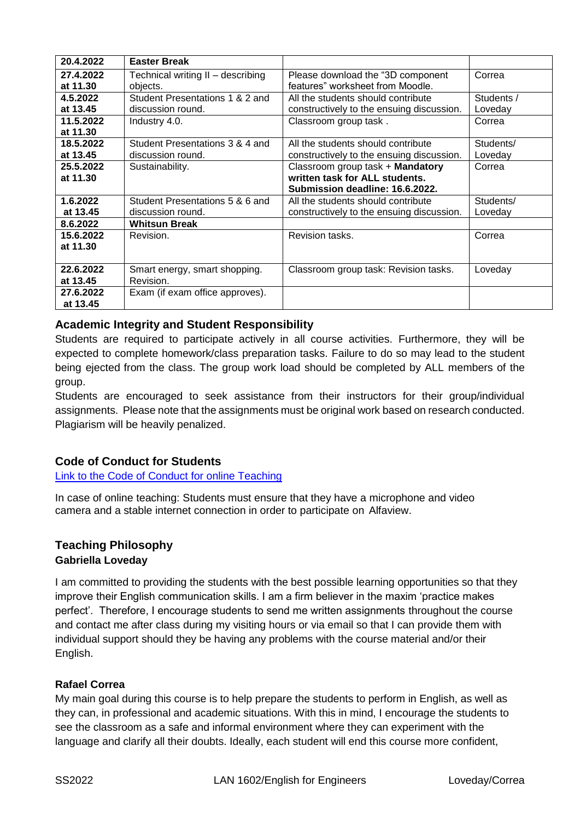| 20.4.2022             | <b>Easter Break</b>                                  |                                                                                                       |                       |
|-----------------------|------------------------------------------------------|-------------------------------------------------------------------------------------------------------|-----------------------|
| 27.4.2022<br>at 11.30 | Technical writing II - describing<br>objects.        | Please download the "3D component"<br>features" worksheet from Moodle.                                | Correa                |
| 4.5.2022<br>at 13.45  | Student Presentations 1 & 2 and<br>discussion round. | All the students should contribute<br>constructively to the ensuing discussion.                       | Students /<br>Loveday |
| 11.5.2022<br>at 11.30 | Industry 4.0.                                        | Classroom group task.                                                                                 | Correa                |
| 18.5.2022<br>at 13.45 | Student Presentations 3 & 4 and<br>discussion round. | All the students should contribute<br>constructively to the ensuing discussion.                       | Students/<br>Loveday  |
| 25.5.2022<br>at 11.30 | Sustainability.                                      | Classroom group task + Mandatory<br>written task for ALL students.<br>Submission deadline: 16.6.2022. | Correa                |
| 1.6.2022<br>at 13.45  | Student Presentations 5 & 6 and<br>discussion round. | All the students should contribute<br>constructively to the ensuing discussion.                       | Students/<br>Loveday  |
| 8.6.2022              | <b>Whitsun Break</b>                                 |                                                                                                       |                       |
| 15.6.2022<br>at 11.30 | Revision.                                            | Revision tasks.                                                                                       | Correa                |
| 22.6.2022<br>at 13.45 | Smart energy, smart shopping.<br>Revision.           | Classroom group task: Revision tasks.                                                                 | Loveday               |
| 27.6.2022<br>at 13.45 | Exam (if exam office approves).                      |                                                                                                       |                       |

# **Academic Integrity and Student Responsibility**

Students are required to participate actively in all course activities. Furthermore, they will be expected to complete homework/class preparation tasks. Failure to do so may lead to the student being ejected from the class. The group work load should be completed by ALL members of the group.

Students are encouraged to seek assistance from their instructors for their group/individual assignments. Please note that the assignments must be original work based on research conducted. Plagiarism will be heavily penalized.

# **Code of Conduct for Students**

[Link to the Code of Conduct for online Teaching](https://e-campus.hs-pforzheim.de/business_pf/digital_learning_tools_links)

In case of online teaching: Students must ensure that they have a microphone and video camera and a stable internet connection in order to participate on Alfaview.

#### **Teaching Philosophy Gabriella Loveday**

I am committed to providing the students with the best possible learning opportunities so that they improve their English communication skills. I am a firm believer in the maxim 'practice makes perfect'. Therefore, I encourage students to send me written assignments throughout the course and contact me after class during my visiting hours or via email so that I can provide them with individual support should they be having any problems with the course material and/or their English.

### **Rafael Correa**

My main goal during this course is to help prepare the students to perform in English, as well as they can, in professional and academic situations. With this in mind, I encourage the students to see the classroom as a safe and informal environment where they can experiment with the language and clarify all their doubts. Ideally, each student will end this course more confident,